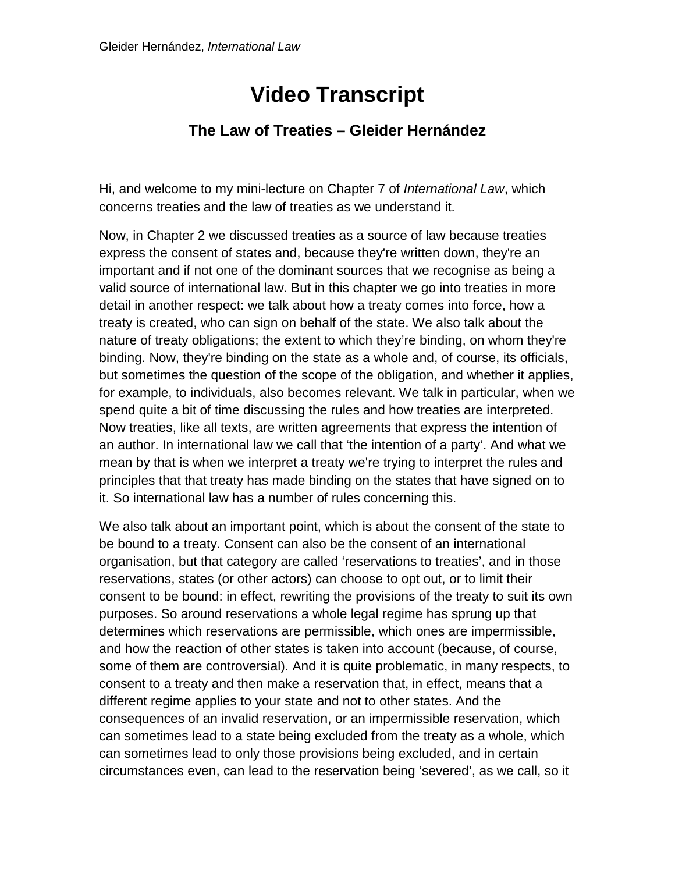## **Video Transcript**

## **The Law of Treaties – Gleider Hernández**

Hi, and welcome to my mini-lecture on Chapter 7 of *International Law*, which concerns treaties and the law of treaties as we understand it.

Now, in Chapter 2 we discussed treaties as a source of law because treaties express the consent of states and, because they're written down, they're an important and if not one of the dominant sources that we recognise as being a valid source of international law. But in this chapter we go into treaties in more detail in another respect: we talk about how a treaty comes into force, how a treaty is created, who can sign on behalf of the state. We also talk about the nature of treaty obligations; the extent to which they're binding, on whom they're binding. Now, they're binding on the state as a whole and, of course, its officials, but sometimes the question of the scope of the obligation, and whether it applies, for example, to individuals, also becomes relevant. We talk in particular, when we spend quite a bit of time discussing the rules and how treaties are interpreted. Now treaties, like all texts, are written agreements that express the intention of an author. In international law we call that 'the intention of a party'. And what we mean by that is when we interpret a treaty we're trying to interpret the rules and principles that that treaty has made binding on the states that have signed on to it. So international law has a number of rules concerning this.

We also talk about an important point, which is about the consent of the state to be bound to a treaty. Consent can also be the consent of an international organisation, but that category are called 'reservations to treaties', and in those reservations, states (or other actors) can choose to opt out, or to limit their consent to be bound: in effect, rewriting the provisions of the treaty to suit its own purposes. So around reservations a whole legal regime has sprung up that determines which reservations are permissible, which ones are impermissible, and how the reaction of other states is taken into account (because, of course, some of them are controversial). And it is quite problematic, in many respects, to consent to a treaty and then make a reservation that, in effect, means that a different regime applies to your state and not to other states. And the consequences of an invalid reservation, or an impermissible reservation, which can sometimes lead to a state being excluded from the treaty as a whole, which can sometimes lead to only those provisions being excluded, and in certain circumstances even, can lead to the reservation being 'severed', as we call, so it